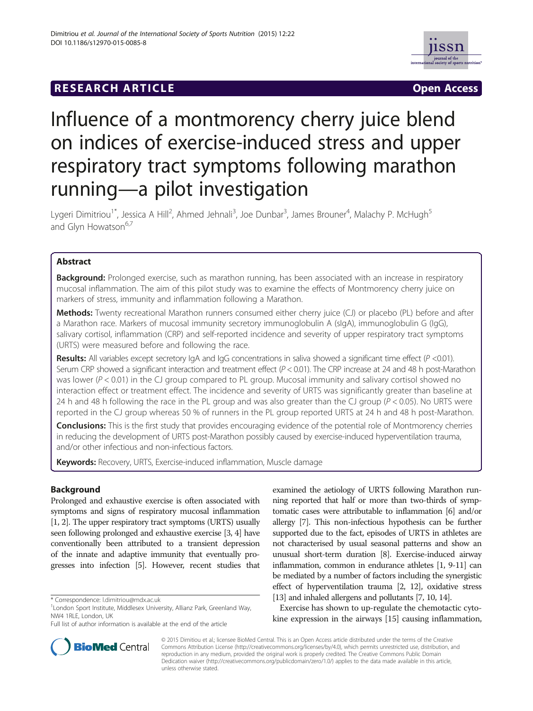# **RESEARCH ARTICLE Example 2014 CONSUMING A RESEARCH ARTICLE**



# Influence of a montmorency cherry juice blend on indices of exercise-induced stress and upper respiratory tract symptoms following marathon running—a pilot investigation

Lygeri Dimitriou<sup>1\*</sup>, Jessica A Hill<sup>2</sup>, Ahmed Jehnali<sup>3</sup>, Joe Dunbar<sup>3</sup>, James Brouner<sup>4</sup>, Malachy P. McHugh<sup>5</sup> and Glyn Howatson<sup>6,7</sup>

# Abstract

Background: Prolonged exercise, such as marathon running, has been associated with an increase in respiratory mucosal inflammation. The aim of this pilot study was to examine the effects of Montmorency cherry juice on markers of stress, immunity and inflammation following a Marathon.

Methods: Twenty recreational Marathon runners consumed either cherry juice (CJ) or placebo (PL) before and after a Marathon race. Markers of mucosal immunity secretory immunoglobulin A (sIgA), immunoglobulin G (IgG), salivary cortisol, inflammation (CRP) and self-reported incidence and severity of upper respiratory tract symptoms (URTS) were measured before and following the race.

Results: All variables except secretory IgA and IgG concentrations in saliva showed a significant time effect ( $P$  <0.01). Serum CRP showed a significant interaction and treatment effect  $(P < 0.01)$ . The CRP increase at 24 and 48 h post-Marathon was lower ( $P < 0.01$ ) in the CJ group compared to PL group. Mucosal immunity and salivary cortisol showed no interaction effect or treatment effect. The incidence and severity of URTS was significantly greater than baseline at 24 h and 48 h following the race in the PL group and was also greater than the CJ group ( $P < 0.05$ ). No URTS were reported in the CJ group whereas 50 % of runners in the PL group reported URTS at 24 h and 48 h post-Marathon.

**Conclusions:** This is the first study that provides encouraging evidence of the potential role of Montmorency cherries in reducing the development of URTS post-Marathon possibly caused by exercise-induced hyperventilation trauma, and/or other infectious and non-infectious factors.

Keywords: Recovery, URTS, Exercise-induced inflammation, Muscle damage

# Background

Prolonged and exhaustive exercise is often associated with symptoms and signs of respiratory mucosal inflammation [[1](#page-5-0), [2\]](#page-5-0). The upper respiratory tract symptoms (URTS) usually seen following prolonged and exhaustive exercise [\[3, 4](#page-5-0)] have conventionally been attributed to a transient depression of the innate and adaptive immunity that eventually progresses into infection [\[5\]](#page-5-0). However, recent studies that

examined the aetiology of URTS following Marathon running reported that half or more than two-thirds of symptomatic cases were attributable to inflammation [\[6\]](#page-5-0) and/or allergy [\[7](#page-5-0)]. This non-infectious hypothesis can be further supported due to the fact, episodes of URTS in athletes are not characterised by usual seasonal patterns and show an unusual short-term duration [\[8\]](#page-6-0). Exercise-induced airway inflammation, common in endurance athletes [\[1,](#page-5-0) [9-11](#page-6-0)] can be mediated by a number of factors including the synergistic effect of hyperventilation trauma [[2](#page-5-0), [12\]](#page-6-0), oxidative stress [[13\]](#page-6-0) and inhaled allergens and pollutants [[7](#page-5-0), [10](#page-6-0), [14](#page-6-0)].

Exercise has shown to up-regulate the chemotactic cytokine expression in the airways [\[15](#page-6-0)] causing inflammation,



© 2015 Dimitiou et al.; licensee BioMed Central. This is an Open Access article distributed under the terms of the Creative Commons Attribution License [\(http://creativecommons.org/licenses/by/4.0\)](http://creativecommons.org/licenses/by/4.0), which permits unrestricted use, distribution, and reproduction in any medium, provided the original work is properly credited. The Creative Commons Public Domain Dedication waiver [\(http://creativecommons.org/publicdomain/zero/1.0/](http://creativecommons.org/publicdomain/zero/1.0/)) applies to the data made available in this article, unless otherwise stated.

<sup>\*</sup> Correspondence: [l.dimitriou@mdx.ac.uk](mailto:l.dimitriou@mdx.ac.uk) <sup>1</sup>

<sup>&</sup>lt;sup>1</sup> London Sport Institute, Middlesex University, Allianz Park, Greenland Way, NW4 1RLE, London, UK

Full list of author information is available at the end of the article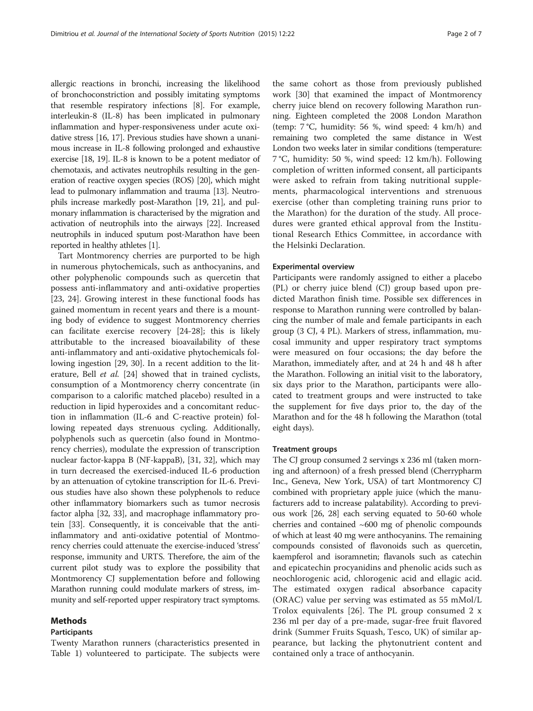allergic reactions in bronchi, increasing the likelihood of bronchoconstriction and possibly imitating symptoms that resemble respiratory infections [[8\]](#page-6-0). For example, interleukin-8 (IL-8) has been implicated in pulmonary inflammation and hyper-responsiveness under acute oxidative stress [\[16, 17](#page-6-0)]. Previous studies have shown a unanimous increase in IL-8 following prolonged and exhaustive exercise [[18](#page-6-0), [19\]](#page-6-0). IL-8 is known to be a potent mediator of chemotaxis, and activates neutrophils resulting in the generation of reactive oxygen species (ROS) [\[20](#page-6-0)], which might lead to pulmonary inflammation and trauma [\[13\]](#page-6-0). Neutrophils increase markedly post-Marathon [[19, 21\]](#page-6-0), and pulmonary inflammation is characterised by the migration and activation of neutrophils into the airways [\[22](#page-6-0)]. Increased neutrophils in induced sputum post-Marathon have been reported in healthy athletes [\[1\]](#page-5-0).

Tart Montmorency cherries are purported to be high in numerous phytochemicals, such as anthocyanins, and other polyphenolic compounds such as quercetin that possess anti-inflammatory and anti-oxidative properties [[23, 24\]](#page-6-0). Growing interest in these functional foods has gained momentum in recent years and there is a mounting body of evidence to suggest Montmorency cherries can facilitate exercise recovery [[24-28\]](#page-6-0); this is likely attributable to the increased bioavailability of these anti-inflammatory and anti-oxidative phytochemicals following ingestion [[29, 30](#page-6-0)]. In a recent addition to the literature, Bell et al. [\[24\]](#page-6-0) showed that in trained cyclists, consumption of a Montmorency cherry concentrate (in comparison to a calorific matched placebo) resulted in a reduction in lipid hyperoxides and a concomitant reduction in inflammation (IL-6 and C-reactive protein) following repeated days strenuous cycling. Additionally, polyphenols such as quercetin (also found in Montmorency cherries), modulate the expression of transcription nuclear factor-kappa B (NF-kappaB), [[31](#page-6-0), [32\]](#page-6-0), which may in turn decreased the exercised-induced IL-6 production by an attenuation of cytokine transcription for IL-6. Previous studies have also shown these polyphenols to reduce other inflammatory biomarkers such as tumor necrosis factor alpha [\[32](#page-6-0), [33](#page-6-0)], and macrophage inflammatory protein [[33](#page-6-0)]. Consequently, it is conceivable that the antiinflammatory and anti-oxidative potential of Montmorency cherries could attenuate the exercise-induced 'stress' response, immunity and URTS. Therefore, the aim of the current pilot study was to explore the possibility that Montmorency CJ supplementation before and following Marathon running could modulate markers of stress, immunity and self-reported upper respiratory tract symptoms.

## Methods

#### Participants

Twenty Marathon runners (characteristics presented in Table [1](#page-2-0)) volunteered to participate. The subjects were

the same cohort as those from previously published work [\[30](#page-6-0)] that examined the impact of Montmorency cherry juice blend on recovery following Marathon running. Eighteen completed the 2008 London Marathon (temp: 7 °C, humidity: 56 %, wind speed: 4 km/h) and remaining two completed the same distance in West London two weeks later in similar conditions (temperature: 7 °C, humidity: 50 %, wind speed: 12 km/h). Following completion of written informed consent, all participants were asked to refrain from taking nutritional supplements, pharmacological interventions and strenuous exercise (other than completing training runs prior to the Marathon) for the duration of the study. All procedures were granted ethical approval from the Institutional Research Ethics Committee, in accordance with the Helsinki Declaration.

#### Experimental overview

Participants were randomly assigned to either a placebo (PL) or cherry juice blend (CJ) group based upon predicted Marathon finish time. Possible sex differences in response to Marathon running were controlled by balancing the number of male and female participants in each group (3 CJ, 4 PL). Markers of stress, inflammation, mucosal immunity and upper respiratory tract symptoms were measured on four occasions; the day before the Marathon, immediately after, and at 24 h and 48 h after the Marathon. Following an initial visit to the laboratory, six days prior to the Marathon, participants were allocated to treatment groups and were instructed to take the supplement for five days prior to, the day of the Marathon and for the 48 h following the Marathon (total eight days).

#### Treatment groups

The CJ group consumed 2 servings x 236 ml (taken morning and afternoon) of a fresh pressed blend (Cherrypharm Inc., Geneva, New York, USA) of tart Montmorency CJ combined with proprietary apple juice (which the manufacturers add to increase palatability). According to previous work [[26](#page-6-0), [28](#page-6-0)] each serving equated to 50-60 whole cherries and contained  $~600$  mg of phenolic compounds of which at least 40 mg were anthocyanins. The remaining compounds consisted of flavonoids such as quercetin, kaempferol and isoramnetin; flavanols such as catechin and epicatechin procyanidins and phenolic acids such as neochlorogenic acid, chlorogenic acid and ellagic acid. The estimated oxygen radical absorbance capacity (ORAC) value per serving was estimated as 55 mMol/L Trolox equivalents [[26\]](#page-6-0). The PL group consumed 2 x 236 ml per day of a pre-made, sugar-free fruit flavored drink (Summer Fruits Squash, Tesco, UK) of similar appearance, but lacking the phytonutrient content and contained only a trace of anthocyanin.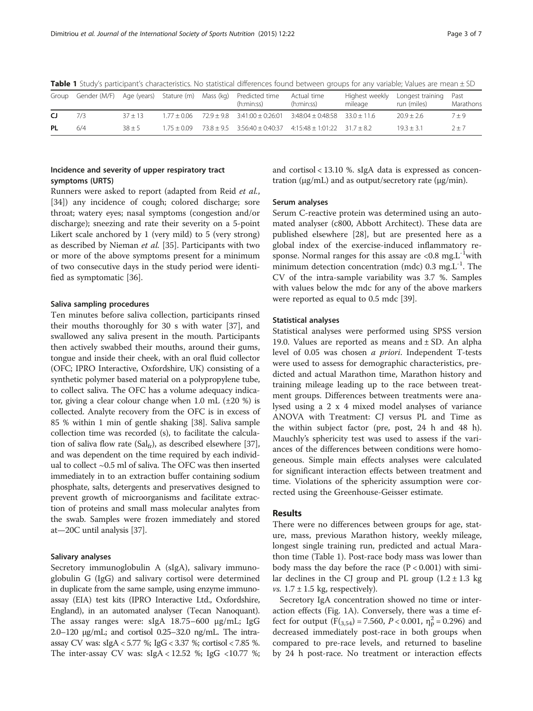| Group |     |           |  |  | Gender (M/F) Age (years) Stature (m) Mass (kg) Predicted time<br>(h:min:ss)                | Actual time<br>(h:min:ss) | mileage | Highest weekly Longest training Past<br>run (miles) | Marathons |
|-------|-----|-----------|--|--|--------------------------------------------------------------------------------------------|---------------------------|---------|-----------------------------------------------------|-----------|
| CJ.   | 7/3 | $37 + 13$ |  |  | $1.77 \pm 0.06$ $72.9 \pm 9.8$ $3:41:00 \pm 0.26:01$ $3:48:04 \pm 0.48:58$ $33.0 \pm 11.6$ |                           |         | $20.9 + 2.6$                                        | $7 + 9$   |
| PL    | 6/4 | $38 + 5$  |  |  | $1.75 \pm 0.09$ $73.8 \pm 9.5$ $3.56.40 \pm 0.40.37$ $4.15.48 \pm 1.01.22$ $31.7 \pm 8.2$  |                           |         | $19.3 + 3.1$                                        | $7 + 7$   |

<span id="page-2-0"></span>Table 1 Study's participant's characteristics. No statistical differences found between groups for any variable; Values are mean  $\pm$  SD

# Incidence and severity of upper respiratory tract symptoms (URTS)

Runners were asked to report (adapted from Reid et al., [[34\]](#page-6-0)) any incidence of cough; colored discharge; sore throat; watery eyes; nasal symptoms (congestion and/or discharge); sneezing and rate their severity on a 5-point Likert scale anchored by 1 (very mild) to 5 (very strong) as described by Nieman et al. [[35\]](#page-6-0). Participants with two or more of the above symptoms present for a minimum of two consecutive days in the study period were identified as symptomatic [[36](#page-6-0)].

#### Saliva sampling procedures

Ten minutes before saliva collection, participants rinsed their mouths thoroughly for 30 s with water [[37\]](#page-6-0), and swallowed any saliva present in the mouth. Participants then actively swabbed their mouths, around their gums, tongue and inside their cheek, with an oral fluid collector (OFC; IPRO Interactive, Oxfordshire, UK) consisting of a synthetic polymer based material on a polypropylene tube, to collect saliva. The OFC has a volume adequacy indicator, giving a clear colour change when 1.0 mL  $(\pm 20\%)$  is collected. Analyte recovery from the OFC is in excess of 85 % within 1 min of gentle shaking [[38](#page-6-0)]. Saliva sample collection time was recorded (s), to facilitate the calculation of saliva flow rate (Sal $_{\text{fr}}$ ), as described elsewhere [[37](#page-6-0)], and was dependent on the time required by each individual to collect ~0.5 ml of saliva. The OFC was then inserted immediately in to an extraction buffer containing sodium phosphate, salts, detergents and preservatives designed to prevent growth of microorganisms and facilitate extraction of proteins and small mass molecular analytes from the swab. Samples were frozen immediately and stored at—20C until analysis [\[37\]](#page-6-0).

#### Salivary analyses

Secretory immunoglobulin A (sIgA), salivary immunoglobulin G (IgG) and salivary cortisol were determined in duplicate from the same sample, using enzyme immunoassay (EIA) test kits (IPRO Interactive Ltd., Oxfordshire, England), in an automated analyser (Tecan Nanoquant). The assay ranges were: sIgA 18.75–600 μg/mL; IgG 2.0–120 μg/mL; and cortisol 0.25–32.0 ng/mL. The intraassay CV was: sIgA < 5.77 %; IgG < 3.37 %; cortisol < 7.85 %. The inter-assay CV was:  $slgA < 12.52$  %; IgG <10.77 %; and cortisol < 13.10 %. sIgA data is expressed as concentration (μg/mL) and as output/secretory rate (μg/min).

#### Serum analyses

Serum C-reactive protein was determined using an automated analyser (c800, Abbott Architect). These data are published elsewhere [\[28\]](#page-6-0), but are presented here as a global index of the exercise-induced inflammatory response. Normal ranges for this assay are  $\langle 0.8 \text{ mg} L^{-1}$  with minimum detection concentration (mdc)  $0.3 \text{ mg.L}^{-1}$ . The CV of the intra-sample variability was 3.7 %. Samples with values below the mdc for any of the above markers were reported as equal to 0.5 mdc [[39\]](#page-6-0).

## Statistical analyses

Statistical analyses were performed using SPSS version 19.0. Values are reported as means and  $\pm$  SD. An alpha level of 0.05 was chosen a priori. Independent T-tests were used to assess for demographic characteristics, predicted and actual Marathon time, Marathon history and training mileage leading up to the race between treatment groups. Differences between treatments were analysed using a 2 x 4 mixed model analyses of variance ANOVA with Treatment: CJ versus PL and Time as the within subject factor (pre, post, 24 h and 48 h). Mauchly's sphericity test was used to assess if the variances of the differences between conditions were homogeneous. Simple main effects analyses were calculated for significant interaction effects between treatment and time. Violations of the sphericity assumption were corrected using the Greenhouse-Geisser estimate.

# Results

There were no differences between groups for age, stature, mass, previous Marathon history, weekly mileage, longest single training run, predicted and actual Marathon time (Table 1). Post-race body mass was lower than body mass the day before the race  $(P < 0.001)$  with similar declines in the CJ group and PL group  $(1.2 \pm 1.3 \text{ kg})$ *vs.*  $1.7 \pm 1.5$  kg, respectively).

Secretory IgA concentration showed no time or interaction effects (Fig. [1A](#page-3-0)). Conversely, there was a time effect for output  $(F_{(3,54)} = 7.560, P < 0.001, \eta_P^2 = 0.296)$  and<br>decreased immediately post-race in both groups when decreased immediately post-race in both groups when compared to pre-race levels, and returned to baseline by 24 h post-race. No treatment or interaction effects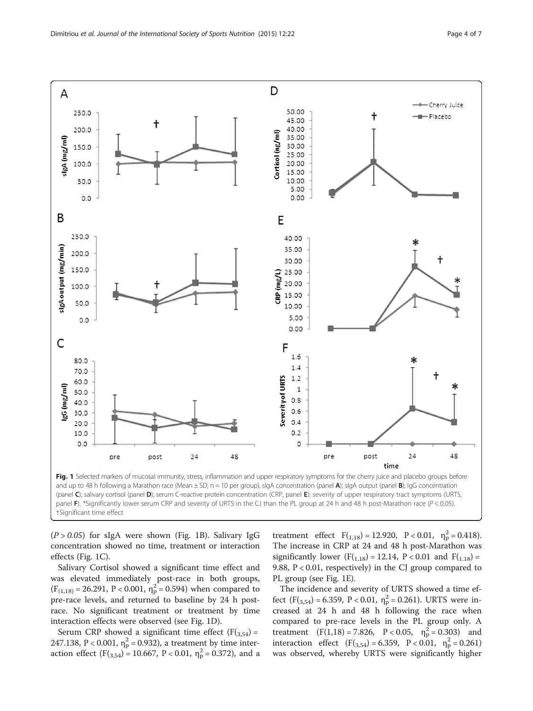<span id="page-3-0"></span>

†Significant time effect

 $(P > 0.05)$  for sIgA were shown (Fig. 1B). Salivary IgG concentration showed no time, treatment or interaction effects (Fig. 1C).

Salivary Cortisol showed a significant time effect and was elevated immediately post-race in both groups,  $(F_{(1,18)} = 26.291, P < 0.001, \eta_p^2 = 0.594)$  when compared to pre-race levels, and returned to baseline by 24 h postrace. No significant treatment or treatment by time interaction effects were observed (see Fig. 1D).

Serum CRP showed a significant time effect  $(F(3,54) =$ 247.138, P < 0.001,  $\eta_{\rm p}^2$  = 0.932), a treatment by time interaction effect  $(F(3,54) = 10.667, P < 0.01, \eta_{p}^{2} = 0.372)$ , and a treatment effect  $F(1,18) = 12.920$ ,  $P < 0.01$ ,  $\eta_p^2 = 0.418$ ). The increase in CRP at 24 and 48 h post-Marathon was significantly lower  $(F(1,18) = 12.14, P < 0.01$  and  $F(1,18) =$ 9.88, P < 0.01, respectively) in the CJ group compared to PL group (see Fig. 1E).

The incidence and severity of URTS showed a time effect  $(F(3,54) = 6.359, P < 0.01, \eta_p^2 = 0.261)$ . URTS were increased at 24 h and 48 h following the race when compared to pre-race levels in the PL group only. A treatment  $(F(1,18) = 7.826, P < 0.05, \eta_{p}^{2} = 0.303)$  and interaction effect  $(F(\mathbf{3}, 54) = 6.359, P < 0.01, \eta_{p}^{2} = 0.261)$ was observed, whereby URTS were significantly higher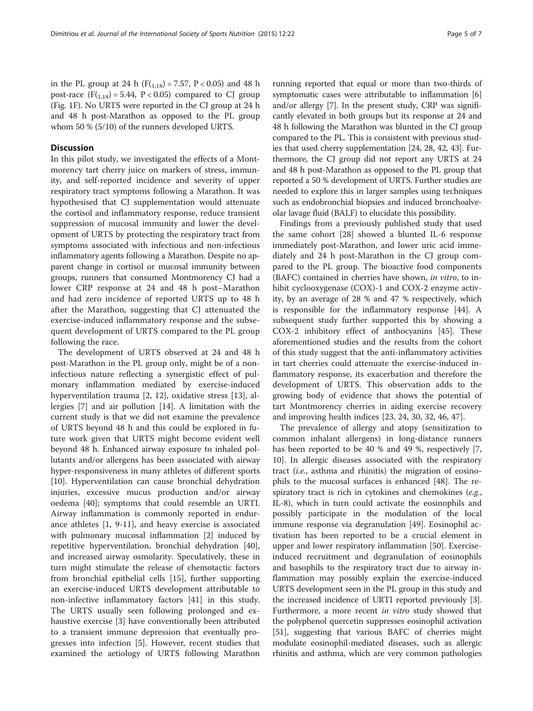in the PL group at 24 h ( $F(1,18) = 7.57$ ,  $P < 0.05$ ) and 48 h post-race  $(F(1,18) = 5.44, P < 0.05)$  compared to CJ group (Fig. [1F](#page-3-0)). No URTS were reported in the CJ group at 24 h and 48 h post-Marathon as opposed to the PL group whom 50 % (5/10) of the runners developed URTS.

# **Discussion**

In this pilot study, we investigated the effects of a Montmorency tart cherry juice on markers of stress, immunity, and self-reported incidence and severity of upper respiratory tract symptoms following a Marathon. It was hypothesised that CJ supplementation would attenuate the cortisol and inflammatory response, reduce transient suppression of mucosal immunity and lower the development of URTS by protecting the respiratory tract from symptoms associated with infectious and non-infectious inflammatory agents following a Marathon. Despite no apparent change in cortisol or mucosal immunity between groups, runners that consumed Montmorency CJ had a lower CRP response at 24 and 48 h post–Marathon and had zero incidence of reported URTS up to 48 h after the Marathon, suggesting that CJ attenuated the exercise-induced inflammatory response and the subsequent development of URTS compared to the PL group following the race.

The development of URTS observed at 24 and 48 h post-Marathon in the PL group only, might be of a noninfectious nature reflecting a synergistic effect of pulmonary inflammation mediated by exercise-induced hyperventilation trauma [[2,](#page-5-0) [12\]](#page-6-0), oxidative stress [\[13](#page-6-0)], allergies [\[7](#page-5-0)] and air pollution [\[14\]](#page-6-0). A limitation with the current study is that we did not examine the prevalence of URTS beyond 48 h and this could be explored in future work given that URTS might become evident well beyond 48 h. Enhanced airway exposure to inhaled pollutants and/or allergens has been associated with airway hyper-responsiveness in many athletes of different sports [[10\]](#page-6-0). Hyperventilation can cause bronchial dehydration injuries, excessive mucus production and/or airway oedema [\[40\]](#page-6-0); symptoms that could resemble an URTI. Airway inflammation is commonly reported in endurance athletes [[1,](#page-5-0) [9-11](#page-6-0)], and heavy exercise is associated with pulmonary mucosal inflammation [[2](#page-5-0)] induced by repetitive hyperventilation, bronchial dehydration [\[40](#page-6-0)], and increased airway osmolarity. Speculatively, these in turn might stimulate the release of chemotactic factors from bronchial epithelial cells [[15\]](#page-6-0), further supporting an exercise-induced URTS development attributable to non-infective inflammatory factors [\[41](#page-6-0)] in this study. The URTS usually seen following prolonged and exhaustive exercise [\[3](#page-5-0)] have conventionally been attributed to a transient immune depression that eventually progresses into infection [\[5](#page-5-0)]. However, recent studies that examined the aetiology of URTS following Marathon

running reported that equal or more than two-thirds of symptomatic cases were attributable to inflammation [[6](#page-5-0)] and/or allergy [\[7](#page-5-0)]. In the present study, CRP was significantly elevated in both groups but its response at 24 and 48 h following the Marathon was blunted in the CJ group compared to the PL. This is consistent with previous studies that used cherry supplementation [\[24](#page-6-0), [28, 42, 43](#page-6-0)]. Furthermore, the CJ group did not report any URTS at 24 and 48 h post-Marathon as opposed to the PL group that reported a 50 % development of URTS. Further studies are needed to explore this in larger samples using techniques such as endobronchial biopsies and induced bronchoalveolar lavage fluid (BALF) to elucidate this possibility.

Findings from a previously published study that used the same cohort [[28](#page-6-0)] showed a blunted IL-6 response immediately post-Marathon, and lower uric acid immediately and 24 h post-Marathon in the CJ group compared to the PL group. The bioactive food components (BAFC) contained in cherries have shown, in vitro, to inhibit cyclooxygenase (COX)-1 and COX-2 enzyme activity, by an average of 28 % and 47 % respectively, which is responsible for the inflammatory response [[44](#page-6-0)]. A subsequent study further supported this by showing a COX-2 inhibitory effect of anthocyanins [[45\]](#page-6-0). These aforementioned studies and the results from the cohort of this study suggest that the anti-inflammatory activities in tart cherries could attenuate the exercise-induced inflammatory response, its exacerbation and therefore the development of URTS. This observation adds to the growing body of evidence that shows the potential of tart Montmorency cherries in aiding exercise recovery and improving health indices [\[23, 24, 30, 32, 46, 47](#page-6-0)].

The prevalence of allergy and atopy (sensitization to common inhalant allergens) in long-distance runners has been reported to be 40 % and 49 %, respectively [\[7](#page-5-0), [10\]](#page-6-0). In allergic diseases associated with the respiratory tract (i.e., asthma and rhinitis) the migration of eosinophils to the mucosal surfaces is enhanced [[48\]](#page-6-0). The respiratory tract is rich in cytokines and chemokines (e.g., IL-8), which in turn could activate the eosinophils and possibly participate in the modulation of the local immune response via degranulation [[49](#page-6-0)]. Eosinophil activation has been reported to be a crucial element in upper and lower respiratory inflammation [\[50](#page-6-0)]. Exerciseinduced recruitment and degranulation of eosinophils and basophils to the respiratory tract due to airway inflammation may possibly explain the exercise-induced URTS development seen in the PL group in this study and the increased incidence of URTI reported previously [[3](#page-5-0)]. Furthermore, a more recent in vitro study showed that the polyphenol quercetin suppresses eosinophil activation [[51](#page-6-0)], suggesting that various BAFC of cherries might modulate eosinophil-mediated diseases, such as allergic rhinitis and asthma, which are very common pathologies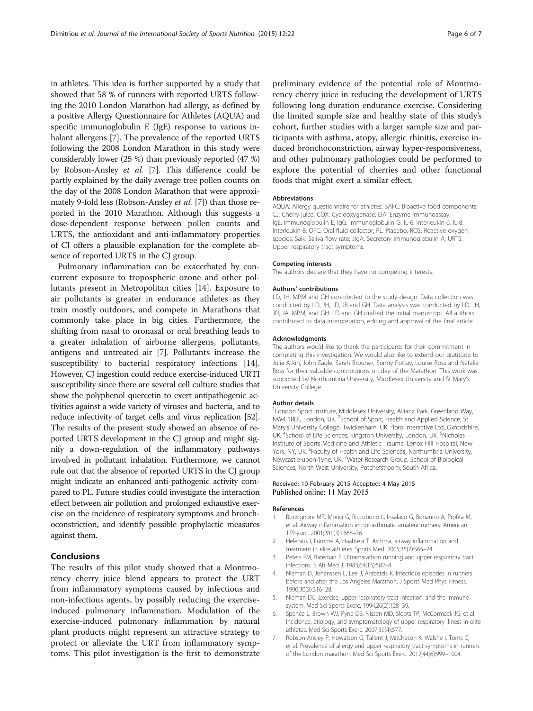<span id="page-5-0"></span>in athletes. This idea is further supported by a study that showed that 58 % of runners with reported URTS following the 2010 London Marathon had allergy, as defined by a positive Allergy Questionnaire for Athletes (AQUA) and specific immunoglobulin E (IgE) response to various inhalant allergens [7]. The prevalence of the reported URTS following the 2008 London Marathon in this study were considerably lower (25 %) than previously reported (47 %) by Robson-Ansley et al. [7]. This difference could be partly explained by the daily average tree pollen counts on the day of the 2008 London Marathon that were approximately 9-fold less (Robson-Ansley et al. [7]) than those reported in the 2010 Marathon. Although this suggests a dose-dependent response between pollen counts and URTS, the antioxidant and anti-inflammatory properties of CJ offers a plausible explanation for the complete absence of reported URTS in the CJ group.

Pulmonary inflammation can be exacerbated by concurrent exposure to tropospheric ozone and other pollutants present in Metropolitan cities [\[14\]](#page-6-0). Exposure to air pollutants is greater in endurance athletes as they train mostly outdoors, and compete in Marathons that commonly take place in big cities. Furthermore, the shifting from nasal to oronasal or oral breathing leads to a greater inhalation of airborne allergens, pollutants, antigens and untreated air [7]. Pollutants increase the susceptibility to bacterial respiratory infections [\[14](#page-6-0)]. However, CJ ingestion could reduce exercise-induced URTI susceptibility since there are several cell culture studies that show the polyphenol quercetin to exert antipathogenic activities against a wide variety of viruses and bacteria, and to reduce infectivity of target cells and virus replication [\[52](#page-6-0)]. The results of the present study showed an absence of reported URTS development in the CJ group and might signify a down-regulation of the inflammatory pathways involved in pollutant inhalation. Furthermore, we cannot rule out that the absence of reported URTS in the CJ group might indicate an enhanced anti-pathogenic activity compared to PL. Future studies could investigate the interaction effect between air pollution and prolonged exhaustive exercise on the incidence of respiratory symptoms and bronchoconstriction, and identify possible prophylactic measures against them.

# Conclusions

The results of this pilot study showed that a Montmorency cherry juice blend appears to protect the URT from inflammatory symptoms caused by infectious and non-infectious agents, by possibly reducing the exerciseinduced pulmonary inflammation. Modulation of the exercise-induced pulmonary inflammation by natural plant products might represent an attractive strategy to protect or alleviate the URT from inflammatory symptoms. This pilot investigation is the first to demonstrate preliminary evidence of the potential role of Montmorency cherry juice in reducing the development of URTS following long duration endurance exercise. Considering the limited sample size and healthy state of this study's cohort, further studies with a larger sample size and participants with asthma, atopy, allergic rhinitis, exercise induced bronchoconstriction, airway hyper-responsiveness, and other pulmonary pathologies could be performed to explore the potential of cherries and other functional foods that might exert a similar effect.

#### Abbreviations

AQUA: Allergy questionnaire for athletes; BAFC: Bioactive food components; CJ: Cherry juice; COX: Cyclooxygenase; EIA: Enzyme immunoassay; IgE: Immunoglobulin E; IgG: Immunoglobulin G; IL-6: Interleukin-6; IL-8: Interleukin-8; OFC: Oral fluid collector; PL: Placebo; ROS: Reactive oxygen species; Sal<sub>fr</sub>: Saliva flow rate; sIgA: Secretory immunoglobulin A; URTS: Upper respiratory tract symptoms.

#### Competing interests

The authors declare that they have no competing interests.

#### Authors' contributions

LD, JH, MPM and GH contributed to the study design. Data collection was conducted by LD, JH, JD, JB and GH. Data analysis was conducted by LD, JH, JD, JA, MPM, and GH. LD and GH drafted the initial manuscript. All authors contributed to data interpretation, editing and approval of the final article.

#### Acknowledgments

The authors would like to thank the participants for their commitment in completing this investigation. We would also like to extend our gratitude to Julia Atkin, John Eagle, Sarah Brouner, Sunny Pottay, Louise Ross and Natalie Ross for their valuable contributions on day of the Marathon. This work was supported by Northumbria University, Middlesex University and St Mary's University College.

#### Author details

<sup>1</sup> London Sport Institute, Middlesex University, Allianz Park, Greenland Way, NW4 1RLE, London, UK. <sup>2</sup>School of Sport, Health and Applied Science, St Mary's University College, Twickenham, UK. <sup>3</sup>Ipro Interactive Ltd, Oxfordshire, UK. <sup>4</sup>School of Life Sciences, Kingston University, London, UK. <sup>5</sup>Nicholas Institute of Sports Medicine and Athletic Trauma, Lenox Hill Hospital, New York, NY, UK. <sup>6</sup>Faculty of Health and Life Sciences, Northumbria University Newcastle-upon-Tyne, UK. <sup>7</sup>Water Research Group, School of Biological Sciences, North West University, Potchefstroom, South Africa.

## Received: 10 February 2015 Accepted: 4 May 2015 Published online: 11 May 2015

#### References

- 1. Bonsignore MR, Morici G, Riccobono L, Insalaco G, Bonanno A, Profita M, et al. Airway inflammation in nonasthmatic amateur runners. American J Physiol. 2001;281(3):L668–76.
- 2. Helenius I, Lumme A, Haahtela T. Asthma, airway inflammation and treatment in elite athletes. Sports Med. 2005;35(7):565–74.
- 3. Peters EM, Bateman E. Ultramarathon running and upper respiratory tract infections. S Afr Med J. 1983;64(15):582–4.
- 4. Nieman D, Johanssen L, Lee J, Arabatzis K. Infectious episodes in runners before and after the Los Angeles Marathon. J Sports Med Phys Fitness. 1990;30(3):316–28.
- 5. Nieman DC. Exercise, upper respiratory tract infection, and the immune system. Med Sci Sports Exerc. 1994;26(2):128–39.
- 6. Spence L, Brown WJ, Pyne DB, Nissen MD, Sloots TP, McCormack JG, et al. Incidence, etiology, and symptomatology of upper respiratory illness in elite athletes. Med Sci Sports Exerc. 2007;39(4):577.
- 7. Robson-Ansley P, Howatson G, Tallent J, Mitcheson K, Walshe I, Toms C, et al. Prevalence of allergy and upper respiratory tract symptoms in runners of the London marathon. Med Sci Sports Exerc. 2012;44(6):999–1004.